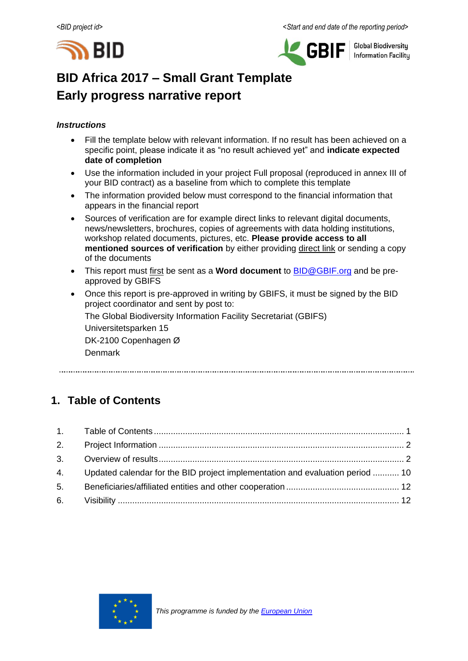



**Global Biodiversity Information Facility** 

# **BID Africa 2017 – Small Grant Template Early progress narrative report**

### *Instructions*

- Fill the template below with relevant information. If no result has been achieved on a specific point, please indicate it as "no result achieved yet" and **indicate expected date of completion**
- Use the information included in your project Full proposal (reproduced in annex III of your BID contract) as a baseline from which to complete this template
- The information provided below must correspond to the financial information that appears in the financial report
- Sources of verification are for example direct links to relevant digital documents, news/newsletters, brochures, copies of agreements with data holding institutions, workshop related documents, pictures, etc. **Please provide access to all mentioned sources of verification** by either providing direct link or sending a copy of the documents
- This report must first be sent as a **Word document** to [BID@GBIF.org](mailto:BID@GBIF.org) and be preapproved by GBIFS
- Once this report is pre-approved in writing by GBIFS, it must be signed by the BID project coordinator and sent by post to:

The Global Biodiversity Information Facility Secretariat (GBIFS)

Universitetsparken 15 DK-2100 Copenhagen Ø

Denmark

# <span id="page-0-0"></span>**1. Table of Contents**

|    | 4. Updated calendar for the BID project implementation and evaluation period  10 |  |
|----|----------------------------------------------------------------------------------|--|
| 5. |                                                                                  |  |
|    |                                                                                  |  |

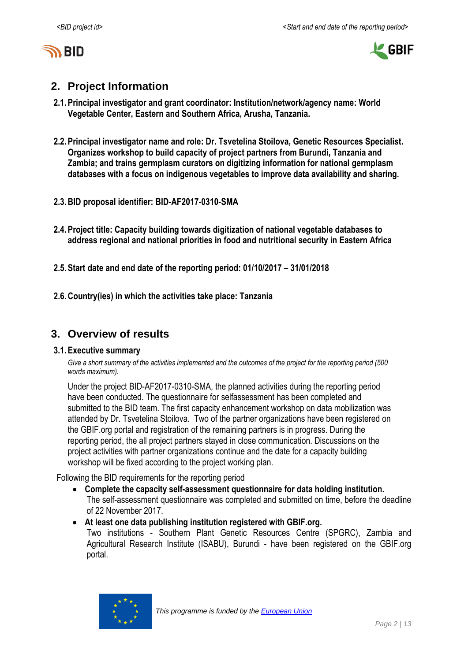



# <span id="page-1-0"></span>**2. Project Information**

- **2.1.Principal investigator and grant coordinator: Institution/network/agency name: World Vegetable Center, Eastern and Southern Africa, Arusha, Tanzania.**
- **2.2.Principal investigator name and role: Dr. Tsvetelina Stoilova, Genetic Resources Specialist. Organizes workshop to build capacity of project partners from Burundi, Tanzania and Zambia; and trains germplasm curators on digitizing information for national germplasm databases with a focus on indigenous vegetables to improve data availability and sharing.**
- **2.3.BID proposal identifier: BID-AF2017-0310-SMA**
- **2.4.Project title: Capacity building towards digitization of national vegetable databases to address regional and national priorities in food and nutritional security in Eastern Africa**
- **2.5.Start date and end date of the reporting period: 01/10/2017 – 31/01/2018**
- **2.6.Country(ies) in which the activities take place: Tanzania**

# <span id="page-1-1"></span>**3. Overview of results**

### **3.1.Executive summary**

*Give a short summary of the activities implemented and the outcomes of the project for the reporting period (500 words maximum).*

Under the project BID-AF2017-0310-SMA, the planned activities during the reporting period have been conducted. The questionnaire for selfassessment has been completed and submitted to the BID team. The first capacity enhancement workshop on data mobilization was attended by Dr. Tsvetelina Stoilova. Two of the partner organizations have been registered on the GBIF.org portal and registration of the remaining partners is in progress. During the reporting period, the all project partners stayed in close communication. Discussions on the project activities with partner organizations continue and the date for a capacity building workshop will be fixed according to the project working plan.

Following the BID requirements for the reporting period

- **Complete the capacity self-assessment questionnaire for data holding institution.** The self-assessment questionnaire was completed and submitted on time, before the deadline of 22 November 2017.
- **At least one data publishing institution registered with GBIF.org.**

Two institutions - Southern Plant Genetic Resources Centre (SPGRC), Zambia and Agricultural Research Institute (ISABU), Burundi - have been registered on the GBIF.org portal.

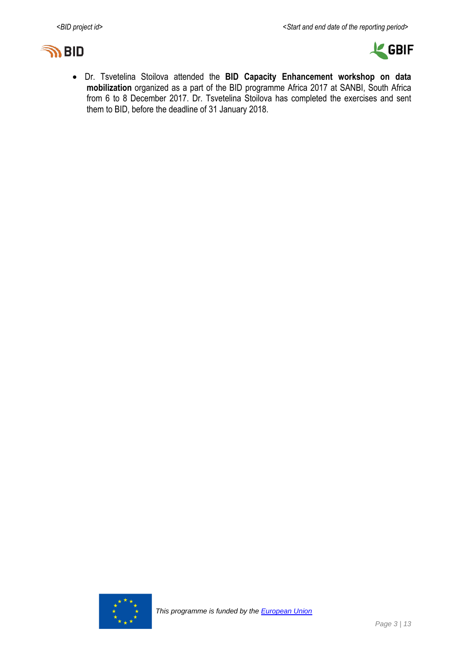



 Dr. Tsvetelina Stoilova attended the **BID Capacity Enhancement workshop on data mobilization** organized as a part of the BID programme Africa 2017 at SANBI, South Africa from 6 to 8 December 2017. Dr. Tsvetelina Stoilova has completed the exercises and sent them to BID, before the deadline of 31 January 2018.

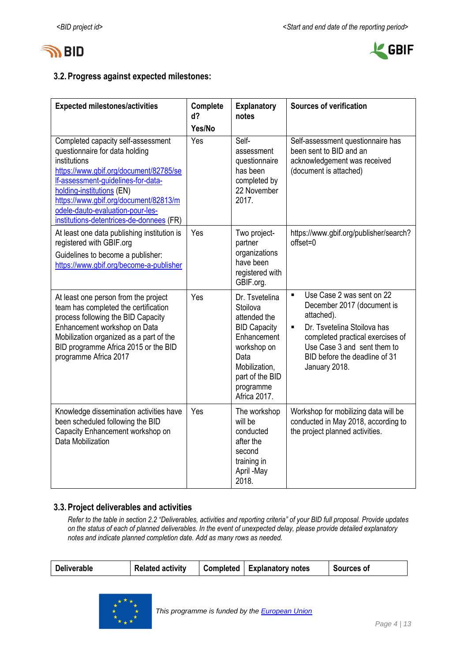



## **3.2.Progress against expected milestones:**

| <b>Expected milestones/activities</b>                                                                                                                                                                                                                                                                                      | Complete<br>d?<br>Yes/No | <b>Explanatory</b><br>notes                                                                                                                                              | <b>Sources of verification</b>                                                                                                                                                                                                                                |
|----------------------------------------------------------------------------------------------------------------------------------------------------------------------------------------------------------------------------------------------------------------------------------------------------------------------------|--------------------------|--------------------------------------------------------------------------------------------------------------------------------------------------------------------------|---------------------------------------------------------------------------------------------------------------------------------------------------------------------------------------------------------------------------------------------------------------|
| Completed capacity self-assessment<br>questionnaire for data holding<br>institutions<br>https://www.gbif.org/document/82785/se<br>If-assessment-guidelines-for-data-<br>holding-institutions (EN)<br>https://www.gbif.org/document/82813/m<br>odele-dauto-evaluation-pour-les-<br>institutions-detentrices-de-donnees (FR) | Yes                      | Self-<br>assessment<br>questionnaire<br>has been<br>completed by<br>22 November<br>2017.                                                                                 | Self-assessment questionnaire has<br>been sent to BID and an<br>acknowledgement was received<br>(document is attached)                                                                                                                                        |
| At least one data publishing institution is<br>registered with GBIF.org<br>Guidelines to become a publisher:<br>https://www.gbif.org/become-a-publisher                                                                                                                                                                    | Yes                      | Two project-<br>partner<br>organizations<br>have been<br>registered with<br>GBIF.org.                                                                                    | https://www.gbif.org/publisher/search?<br>offset=0                                                                                                                                                                                                            |
| At least one person from the project<br>team has completed the certification<br>process following the BID Capacity<br>Enhancement workshop on Data<br>Mobilization organized as a part of the<br>BID programme Africa 2015 or the BID<br>programme Africa 2017                                                             | Yes                      | Dr. Tsvetelina<br>Stoilova<br>attended the<br><b>BID Capacity</b><br>Enhancement<br>workshop on<br>Data<br>Mobilization,<br>part of the BID<br>programme<br>Africa 2017. | Use Case 2 was sent on 22<br>$\blacksquare$<br>December 2017 (document is<br>attached).<br>Dr. Tsvetelina Stoilova has<br>$\blacksquare$<br>completed practical exercises of<br>Use Case 3 and sent them to<br>BID before the deadline of 31<br>January 2018. |
| Knowledge dissemination activities have<br>been scheduled following the BID<br>Capacity Enhancement workshop on<br>Data Mobilization                                                                                                                                                                                       | Yes                      | The workshop<br>will be<br>conducted<br>after the<br>second<br>training in<br>April -May<br>2018.                                                                        | Workshop for mobilizing data will be<br>conducted in May 2018, according to<br>the project planned activities.                                                                                                                                                |

### **3.3.Project deliverables and activities**

*Refer to the table in section 2.2 "Deliverables, activities and reporting criteria" of your BID full proposal. Provide updates on the status of each of planned deliverables. In the event of unexpected delay, please provide detailed explanatory notes and indicate planned completion date. Add as many rows as needed.*

| Completed   Explanatory notes<br><b>Related activity</b><br>Sources of<br><b>Deliverable</b> |
|----------------------------------------------------------------------------------------------|
|----------------------------------------------------------------------------------------------|

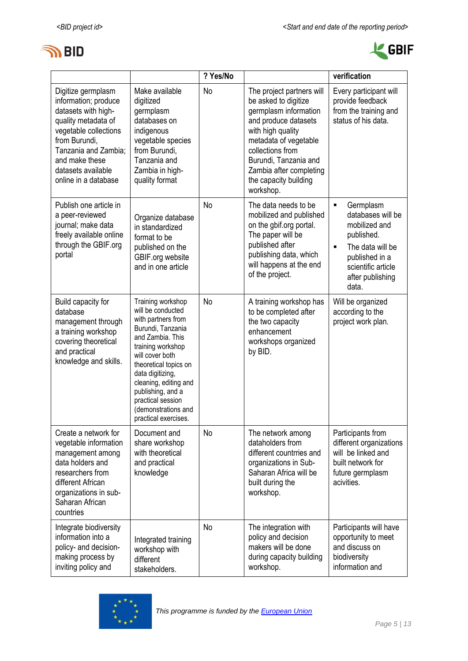



|                                                                                                                                                                                                                            |                                                                                                                                                                                                                                                                                                              | ? Yes/No  |                                                                                                                                                                                                                                                                | verification                                                                                                                                                                               |
|----------------------------------------------------------------------------------------------------------------------------------------------------------------------------------------------------------------------------|--------------------------------------------------------------------------------------------------------------------------------------------------------------------------------------------------------------------------------------------------------------------------------------------------------------|-----------|----------------------------------------------------------------------------------------------------------------------------------------------------------------------------------------------------------------------------------------------------------------|--------------------------------------------------------------------------------------------------------------------------------------------------------------------------------------------|
| Digitize germplasm<br>information; produce<br>datasets with high-<br>quality metadata of<br>vegetable collections<br>from Burundi,<br>Tanzania and Zambia;<br>and make these<br>datasets available<br>online in a database | Make available<br>digitized<br>germplasm<br>databases on<br>indigenous<br>vegetable species<br>from Burundi,<br>Tanzania and<br>Zambia in high-<br>quality format                                                                                                                                            | No        | The project partners will<br>be asked to digitize<br>germplasm information<br>and produce datasets<br>with high quality<br>metadata of vegetable<br>collections from<br>Burundi, Tanzania and<br>Zambia after completing<br>the capacity building<br>workshop. | Every participant will<br>provide feedback<br>from the training and<br>status of his data.                                                                                                 |
| Publish one article in<br>a peer-reviewed<br>journal; make data<br>freely available online<br>through the GBIF.org<br>portal                                                                                               | Organize database<br>in standardized<br>format to be<br>published on the<br>GBIF.org website<br>and in one article                                                                                                                                                                                           | No        | The data needs to be<br>mobilized and published<br>on the gbif.org portal.<br>The paper will be<br>published after<br>publishing data, which<br>will happens at the end<br>of the project.                                                                     | Germplasm<br>$\blacksquare$<br>databases will be<br>mobilized and<br>published.<br>The data will be<br>$\blacksquare$<br>published in a<br>scientific article<br>after publishing<br>data. |
| Build capacity for<br>database<br>management through<br>a training workshop<br>covering theoretical<br>and practical<br>knowledge and skills.                                                                              | Training workshop<br>will be conducted<br>with partners from<br>Burundi, Tanzania<br>and Zambia. This<br>training workshop<br>will cover both<br>theoretical topics on<br>data digitizing,<br>cleaning, editing and<br>publishing, and a<br>practical session<br>(demonstrations and<br>practical exercises. | <b>No</b> | A training workshop has<br>to be completed after<br>the two capacity<br>enhancement<br>workshops organized<br>by BID.                                                                                                                                          | Will be organized<br>according to the<br>project work plan.                                                                                                                                |
| Create a network for<br>vegetable information<br>management among<br>data holders and<br>researchers from<br>different African<br>organizations in sub-<br>Saharan African<br>countries                                    | Document and<br>share workshop<br>with theoretical<br>and practical<br>knowledge                                                                                                                                                                                                                             | No        | The network among<br>dataholders from<br>different countrries and<br>organizations in Sub-<br>Saharan Africa will be<br>built during the<br>workshop.                                                                                                          | Participants from<br>different organizations<br>will be linked and<br>built network for<br>future germplasm<br>acivities.                                                                  |
| Integrate biodiversity<br>information into a<br>policy- and decision-<br>making process by<br>inviting policy and                                                                                                          | Integrated training<br>workshop with<br>different<br>stakeholders.                                                                                                                                                                                                                                           | No        | The integration with<br>policy and decision<br>makers will be done<br>during capacity building<br>workshop.                                                                                                                                                    | Participants will have<br>opportunity to meet<br>and discuss on<br>biodiversity<br>information and                                                                                         |

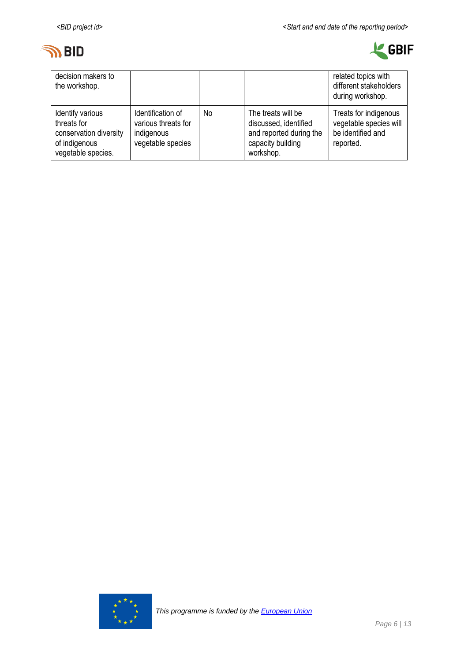



| decision makers to<br>the workshop.                                                              |                                                                             |    |                                                                                                          | related topics with<br>different stakeholders<br>during workshop.                 |
|--------------------------------------------------------------------------------------------------|-----------------------------------------------------------------------------|----|----------------------------------------------------------------------------------------------------------|-----------------------------------------------------------------------------------|
| Identify various<br>threats for<br>conservation diversity<br>of indigenous<br>vegetable species. | Identification of<br>various threats for<br>indigenous<br>vegetable species | No | The treats will be<br>discussed, identified<br>and reported during the<br>capacity building<br>workshop. | Treats for indigenous<br>vegetable species will<br>be identified and<br>reported. |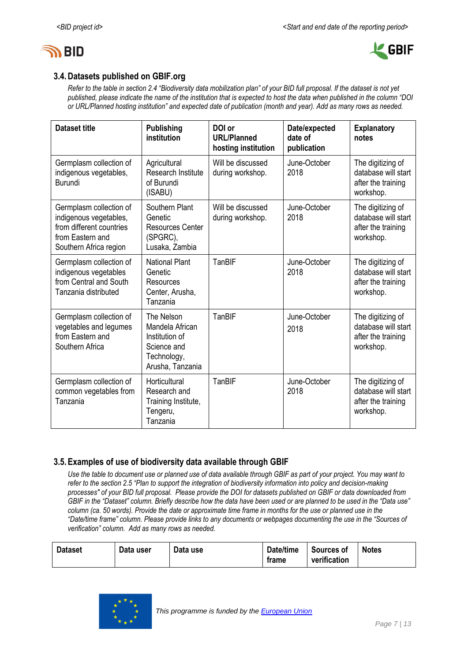



## **3.4.Datasets published on GBIF.org**

*Refer to the table in section 2.4 "Biodiversity data mobilization plan" of your BID full proposal. If the dataset is not yet published, please indicate the name of the institution that is expected to host the data when published in the column "DOI or URL/Planned hosting institution" and expected date of publication (month and year). Add as many rows as needed.*

| <b>Dataset title</b>                                                                                                        | <b>Publishing</b><br>institution                                                                  | DOI or<br><b>URL/Planned</b><br>hosting institution | Date/expected<br>date of<br>publication | <b>Explanatory</b><br>notes                                                 |
|-----------------------------------------------------------------------------------------------------------------------------|---------------------------------------------------------------------------------------------------|-----------------------------------------------------|-----------------------------------------|-----------------------------------------------------------------------------|
| Germplasm collection of<br>indigenous vegetables,<br><b>Burundi</b>                                                         | Agricultural<br><b>Research Institute</b><br>of Burundi<br>(ISABU)                                | Will be discussed<br>during workshop.               | June-October<br>2018                    | The digitizing of<br>database will start<br>after the training<br>workshop. |
| Germplasm collection of<br>indigenous vegetables,<br>from different countries<br>from Eastern and<br>Southern Africa region | Southern Plant<br>Genetic<br><b>Resources Center</b><br>(SPGRC),<br>Lusaka, Zambia                | Will be discussed<br>during workshop.               | June-October<br>2018                    | The digitizing of<br>database will start<br>after the training<br>workshop. |
| Germplasm collection of<br>indigenous vegetables<br>from Central and South<br>Tanzania distributed                          | <b>National Plant</b><br>Genetic<br>Resources<br>Center, Arusha,<br>Tanzania                      | TanBIF                                              | June-October<br>2018                    | The digitizing of<br>database will start<br>after the training<br>workshop. |
| Germplasm collection of<br>vegetables and legumes<br>from Eastern and<br>Southern Africa                                    | The Nelson<br>Mandela African<br>Institution of<br>Science and<br>Technology,<br>Arusha, Tanzania | TanBIF                                              | June-October<br>2018                    | The digitizing of<br>database will start<br>after the training<br>workshop. |
| Germplasm collection of<br>common vegetables from<br>Tanzania                                                               | Horticultural<br>Research and<br>Training Institute,<br>Tengeru,<br>Tanzania                      | TanBIF                                              | June-October<br>2018                    | The digitizing of<br>database will start<br>after the training<br>workshop. |

### **3.5.Examples of use of biodiversity data available through GBIF**

*Use the table to document use or planned use of data available through GBIF as part of your project. You may want to refer to the section 2.5 "Plan to support the integration of biodiversity information into policy and decision-making processes" of your BID full proposal. Please provide the DOI for datasets published on GBIF or data downloaded from GBIF in the "Dataset" column. Briefly describe how the data have been used or are planned to be used in the "Data use" column (ca. 50 words). Provide the date or approximate time frame in months for the use or planned use in the "Date/time frame" column. Please provide links to any documents or webpages documenting the use in the "Sources of verification" column. Add as many rows as needed.*

| Data use<br><b>Dataset</b><br>Data user | Date/time<br>frame | Sources of<br>verification | <b>Notes</b> |
|-----------------------------------------|--------------------|----------------------------|--------------|
|-----------------------------------------|--------------------|----------------------------|--------------|

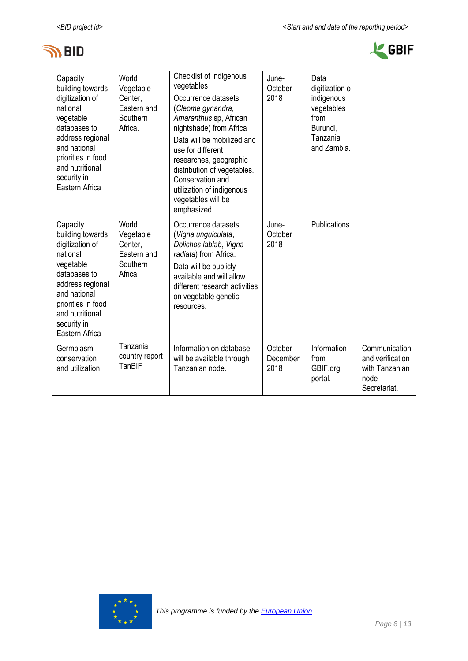



| Capacity<br>building towards<br>digitization of<br>national<br>vegetable<br>databases to<br>address regional<br>and national<br>priorities in food<br>and nutritional<br>security in<br>Eastern Africa | World<br>Vegetable<br>Center,<br>Eastern and<br>Southern<br>Africa. | Checklist of indigenous<br>vegetables<br>Occurrence datasets<br>(Cleome gynandra,<br>Amaranthus sp, African<br>nightshade) from Africa<br>Data will be mobilized and<br>use for different<br>researches, geographic<br>distribution of vegetables.<br>Conservation and<br>utilization of indigenous<br>vegetables will be<br>emphasized. | June-<br>October<br>2018     | Data<br>digitization o<br>indigenous<br>vegetables<br>from<br>Burundi,<br>Tanzania<br>and Zambia. |                                                                             |
|--------------------------------------------------------------------------------------------------------------------------------------------------------------------------------------------------------|---------------------------------------------------------------------|------------------------------------------------------------------------------------------------------------------------------------------------------------------------------------------------------------------------------------------------------------------------------------------------------------------------------------------|------------------------------|---------------------------------------------------------------------------------------------------|-----------------------------------------------------------------------------|
| Capacity<br>building towards<br>digitization of<br>national<br>vegetable<br>databases to<br>address regional<br>and national<br>priorities in food<br>and nutritional<br>security in<br>Eastern Africa | World<br>Vegetable<br>Center.<br>Eastern and<br>Southern<br>Africa  | Occurrence datasets<br>(Vigna unguiculata,<br>Dolichos lablab, Vigna<br>radiata) from Africa.<br>Data will be publicly<br>available and will allow<br>different research activities<br>on vegetable genetic<br>resources.                                                                                                                | June-<br>October<br>2018     | Publications.                                                                                     |                                                                             |
| Germplasm<br>conservation<br>and utilization                                                                                                                                                           | Tanzania<br>country report<br>TanBIF                                | Information on database<br>will be available through<br>Tanzanian node.                                                                                                                                                                                                                                                                  | October-<br>December<br>2018 | Information<br>from<br>GBIF.org<br>portal.                                                        | Communication<br>and verification<br>with Tanzanian<br>node<br>Secretariat. |

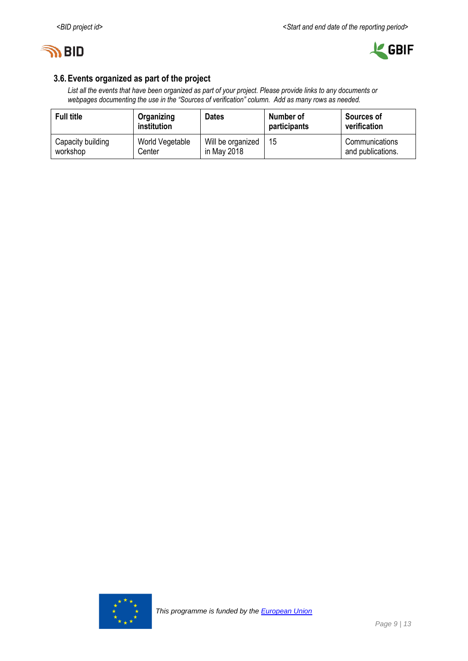



## **3.6.Events organized as part of the project**

*List all the events that have been organized as part of your project. Please provide links to any documents or webpages documenting the use in the "Sources of verification" column. Add as many rows as needed.*

| <b>Full title</b> | Organizing<br>institution | <b>Dates</b>      | Number of<br>participants | <b>Sources of</b><br>verification |
|-------------------|---------------------------|-------------------|---------------------------|-----------------------------------|
| Capacity building | World Vegetable           | Will be organized | 15                        | Communications                    |
| workshop          | Center                    | in May 2018       |                           | and publications.                 |

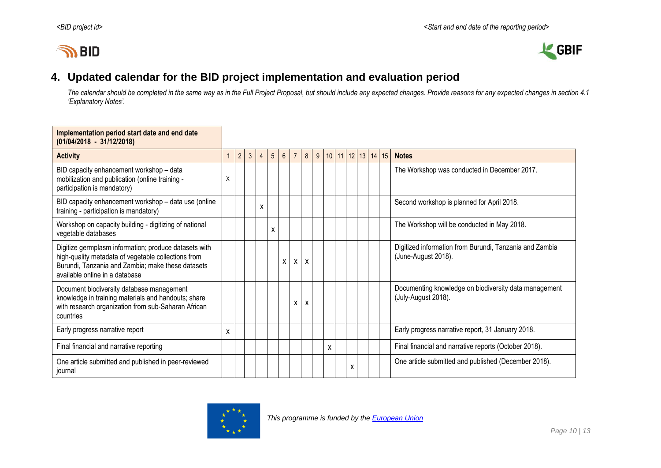# **IN BID**



# **4. Updated calendar for the BID project implementation and evaluation period**

*The calendar should be completed in the same way as in the Full Project Proposal, but should include any expected changes. Provide reasons for any expected changes in section 4.1 'Explanatory Notes'.*

<span id="page-9-0"></span>

| Implementation period start date and end date<br>$(01/04/2018 - 31/12/2018)$                                                                                                                        |              |                |   |   |   |                 |                |   |             |   |  |                   |  |                                                                                |
|-----------------------------------------------------------------------------------------------------------------------------------------------------------------------------------------------------|--------------|----------------|---|---|---|-----------------|----------------|---|-------------|---|--|-------------------|--|--------------------------------------------------------------------------------|
| <b>Activity</b>                                                                                                                                                                                     | $\mathbf{1}$ | $\overline{2}$ | 3 | 4 | 5 | $6\overline{6}$ | $\overline{7}$ | 8 | $9^{\circ}$ |   |  | 10 11 12 13 14 15 |  | <b>Notes</b>                                                                   |
| BID capacity enhancement workshop - data<br>mobilization and publication (online training -<br>participation is mandatory)                                                                          | X            |                |   |   |   |                 |                |   |             |   |  |                   |  | The Workshop was conducted in December 2017.                                   |
| BID capacity enhancement workshop - data use (online<br>training - participation is mandatory)                                                                                                      |              |                |   | X |   |                 |                |   |             |   |  |                   |  | Second workshop is planned for April 2018.                                     |
| Workshop on capacity building - digitizing of national<br>vegetable databases                                                                                                                       |              |                |   |   | X |                 |                |   |             |   |  |                   |  | The Workshop will be conducted in May 2018.                                    |
| Digitize germplasm information; produce datasets with<br>high-quality metadata of vegetable collections from<br>Burundi, Tanzania and Zambia; make these datasets<br>available online in a database |              |                |   |   |   | X               | X              | X |             |   |  |                   |  | Digitized information from Burundi, Tanzania and Zambia<br>(June-August 2018). |
| Document biodiversity database management<br>knowledge in training materials and handouts; share<br>with research organization from sub-Saharan African<br>countries                                |              |                |   |   |   |                 | X              | X |             |   |  |                   |  | Documenting knowledge on biodiversity data management<br>(July-August 2018).   |
| Early progress narrative report                                                                                                                                                                     | x            |                |   |   |   |                 |                |   |             |   |  |                   |  | Early progress narrative report, 31 January 2018.                              |
| Final financial and narrative reporting                                                                                                                                                             |              |                |   |   |   |                 |                |   |             | X |  |                   |  | Final financial and narrative reports (October 2018).                          |
| One article submitted and published in peer-reviewed<br>journal                                                                                                                                     |              |                |   |   |   |                 |                |   |             |   |  | х                 |  | One article submitted and published (December 2018).                           |

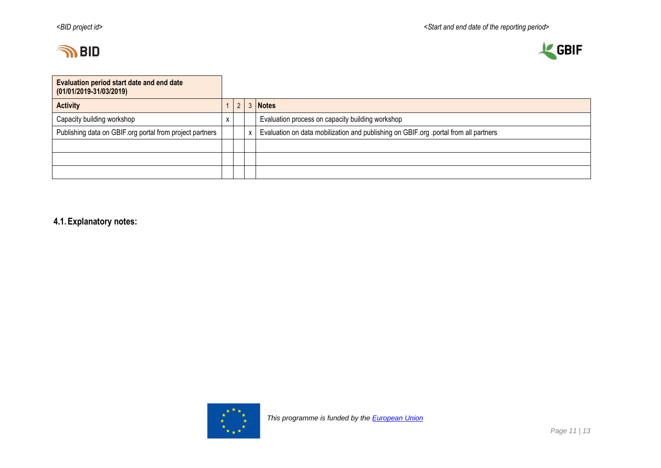



| Evaluation period start date and end date<br>$(01/01/2019-31/03/2019)$ |   |  |  |                                                                                      |  |  |  |  |
|------------------------------------------------------------------------|---|--|--|--------------------------------------------------------------------------------------|--|--|--|--|
| <b>Activity</b>                                                        |   |  |  | <b>Notes</b>                                                                         |  |  |  |  |
| Capacity building workshop                                             | x |  |  | Evaluation process on capacity building workshop                                     |  |  |  |  |
| Publishing data on GBIF org portal from project partners               |   |  |  | Evaluation on data mobilization and publishing on GBIF.org .portal from all partners |  |  |  |  |
|                                                                        |   |  |  |                                                                                      |  |  |  |  |
|                                                                        |   |  |  |                                                                                      |  |  |  |  |
|                                                                        |   |  |  |                                                                                      |  |  |  |  |

**4.1.Explanatory notes:**

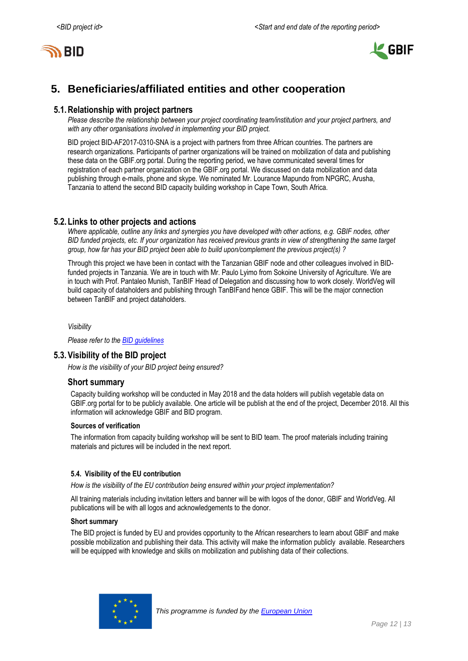



# <span id="page-11-0"></span>**5. Beneficiaries/affiliated entities and other cooperation**

### **5.1.Relationship with project partners**

*Please describe the relationship between your project coordinating team/institution and your project partners, and with any other organisations involved in implementing your BID project.*

BID project BID-AF2017-0310-SNA is a project with partners from three African countries. The partners are research organizations. Participants of partner organizations will be trained on mobilization of data and publishing these data on the GBIF.org portal. During the reporting period, we have communicated several times for registration of each partner organization on the GBIF.org portal. We discussed on data mobilization and data publishing through e-mails, phone and skype. We nominated Mr. Lourance Mapundo from NPGRC, Arusha, Tanzania to attend the second BID capacity building workshop in Cape Town, South Africa.

### **5.2.Links to other projects and actions**

*Where applicable, outline any links and synergies you have developed with other actions, e.g. GBIF nodes, other BID funded projects, etc. If your organization has received previous grants in view of strengthening the same target group, how far has your BID project been able to build upon/complement the previous project(s) ?*

<span id="page-11-1"></span>Through this project we have been in contact with the Tanzanian GBIF node and other colleagues involved in BIDfunded projects in Tanzania. We are in touch with Mr. Paulo Lyimo from Sokoine University of Agriculture. We are in touch with Prof. Pantaleo Munish, TanBIF Head of Delegation and discussing how to work closely. WorldVeg will build capacity of dataholders and publishing through TanBIFand hence GBIF. This will be the major connection between TanBIF and project dataholders.

*Visibility*

*Please refer to th[e BID guidelines](http://bid.gbif.org/en/community/communication-guidelines/)*

### **5.3.Visibility of the BID project**

*How is the visibility of your BID project being ensured?*

### **Short summary**

Capacity building workshop will be conducted in May 2018 and the data holders will publish vegetable data on GBIF.org portal for to be publicly available. One article will be publish at the end of the project, December 2018. All this information will acknowledge GBIF and BID program.

#### **Sources of verification**

The information from capacity building workshop will be sent to BID team. The proof materials including training materials and pictures will be included in the next report.

### **5.4. Visibility of the EU contribution**

*How is the visibility of the EU contribution being ensured within your project implementation?*

All training materials including invitation letters and banner will be with logos of the donor, GBIF and WorldVeg. All publications will be with all logos and acknowledgements to the donor.

#### **Short summary**

The BID project is funded by EU and provides opportunity to the African researchers to learn about GBIF and make possible mobilization and publishing their data. This activity will make the information publicly available. Researchers will be equipped with knowledge and skills on mobilization and publishing data of their collections.